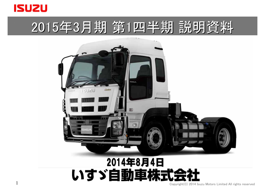

1

# 2015年3月期 第1四半期 説明資料



## 2014年8月4日 いすゞ自動車株式:

Copyright(C) 2014 Isuzu Motors Limited All rights reserved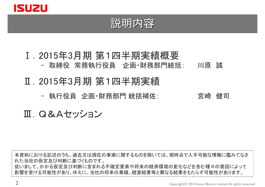

### 説明内容

### Ⅰ.2015年3月期 第1四半期実績概要 - 取締役 常務執行役員 企画・財務部門統括: 川原 誠

### Ⅱ.2015年3月期 第1四半期実績

- 執行役員 企画・財務部門 統括補佐: ファンマン 宮崎 健司

### Ⅲ.Q&Aセッション

本資料における記述のうち、過去又は現在の事実に関するものを除いては、現時点で入手可能な情報に鑑みてなさ れた当社の仮定及び判断に基づくものです。 従いまして、かかる仮定及び判断に含まれる不確定要素や将来の経済環境の変化などを含む種々の要因によって 影響を受ける可能性があり、ゆえに、当社の将来の業績、経営結果等と異なる結果をもたらす可能性があります。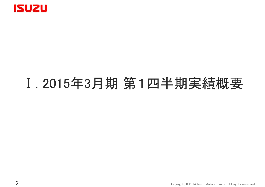

# Ⅰ. 2015年3月期 第1四半期実績概要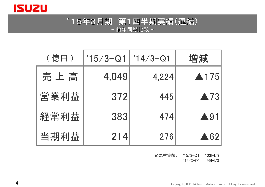

### '15年3月期 第1四半期実績(連結) 15年3月期 第1四半期実績(連結) - 前年同期比較 -

| (億円) | $15/3 - Q1$ | $'14/3 - Q1$ | 増減                  |
|------|-------------|--------------|---------------------|
| 売上高  | 4,049       | 4,224        | ▲175                |
| 営業利益 | 372         | 445          | $\blacktriangle$ 73 |
| 経常利益 | 383         | 474          | $\blacktriangle$ 91 |
| 当期利益 | 214         | 276          | $\triangle 62$      |

※為替実績: '15/3-Q1= 103円/\$

 $'14/3$ -Q1= 95円/\$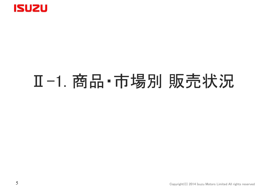

# Ⅱ-1. 商品・市場別 販売状況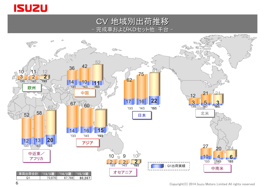

CV 地域別出荷推移 地域別出荷推移 完成車およびKDセット他:千台 -

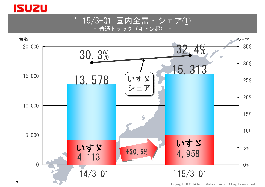

'15/3-Q1 国内全需・シェア① 普通トラック (4トン超)



Copyright(C) 2014 Isuzu Motors Limited All rights reserved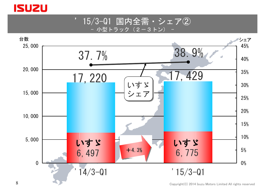

'15/3-Q1 国内全需・シェア② - 小型トラック(2-3トン) -



Copyright(C) 2014 Isuzu Motors Limited All rights reserved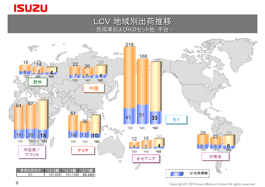

LCV 地域別出荷推移 完成車およびKDセット他:千台 -

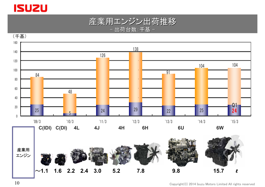

#### 産業用エンジン出荷推移 - 出荷台数:千基 -

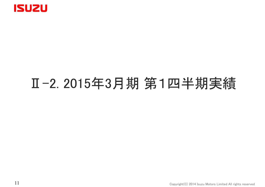

## Ⅱ-2. 2015年3月期 第1四半期実績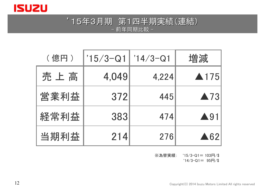

### '15年3月期 第1四半期実績(連結) 15年3月期 第1四半期実績(連結) - 前年同期比較 -

| (億円) | $15/3 - Q1$ | $'14/3 - Q1$ | 増減                  |
|------|-------------|--------------|---------------------|
| 売上高  | 4,049       | 4,224        | ▲175                |
| 営業利益 | 372         | 445          | $\blacktriangle$ 73 |
| 経常利益 | 383         | 474          | $\blacktriangle$ 91 |
| 当期利益 | 214         | 276          | $\triangle 62$      |

※為替実績: '15/3-Q1= 103円/\$

 $'14/3$ -Q1= 95円/\$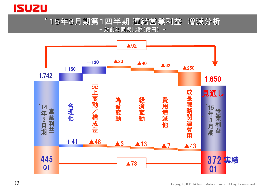

### '15年3月期第1四半期 連結営業利益 増減分析 -対前年同期比較(億円)-

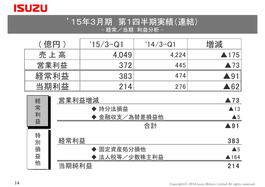

### '15年3月期 第1四半期実績(連結) - 経常/当期 利益分析 -

| 〔億円 〕 | $15/3 - Q1$ | $14/3 - Q1$ | 増減                  |
|-------|-------------|-------------|---------------------|
| 売上高   | 4,049       | 4,224       | $\triangle$ 175     |
| 営業利益  | 372         | 445         | $\blacktriangle$ 73 |
| 経常利益  | 383         | 474         | $\bigcirc$ 91       |
| 当期利益  | 214         | 276         | .62                 |